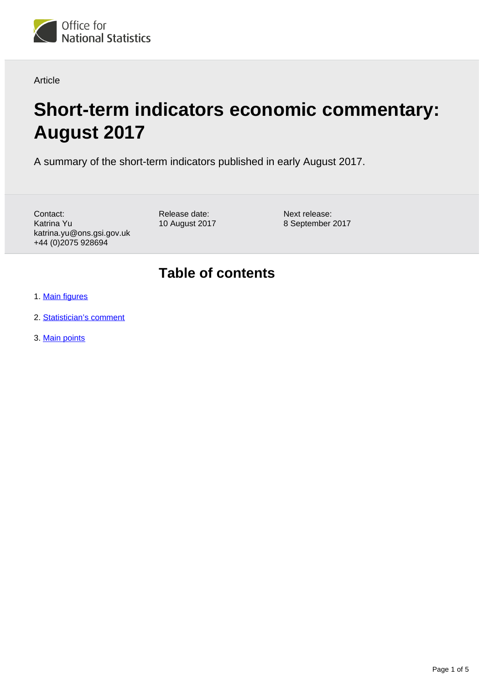

Article

# **Short-term indicators economic commentary: August 2017**

A summary of the short-term indicators published in early August 2017.

Contact: Katrina Yu katrina.yu@ons.gsi.gov.uk +44 (0)2075 928694

Release date: 10 August 2017 Next release: 8 September 2017

### **Table of contents**

- 1. [Main figures](#page-1-0)
- 2. [Statistician's comment](#page-1-1)
- 3. [Main points](#page-1-2)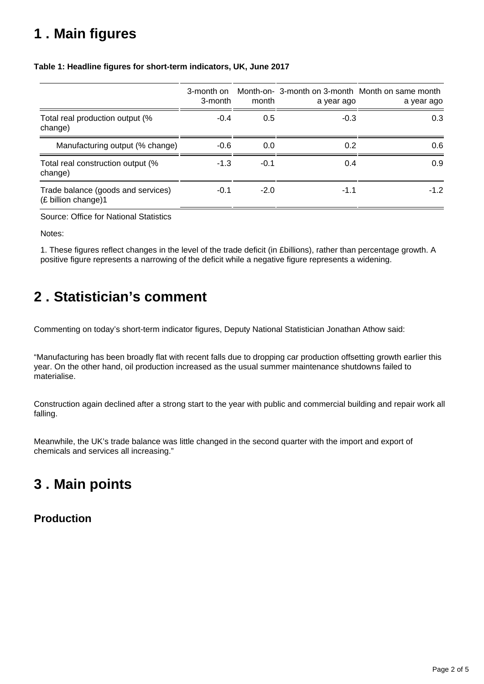# <span id="page-1-0"></span>**1 . Main figures**

|                                                             | 3-month on<br>3-month | month  | a year ago | Month-on- 3-month on 3-month Month on same month<br>a year ago |
|-------------------------------------------------------------|-----------------------|--------|------------|----------------------------------------------------------------|
| Total real production output (%<br>change)                  | $-0.4$                | 0.5    | $-0.3$     | 0.3                                                            |
| Manufacturing output (% change)                             | $-0.6$                | 0.0    | 0.2        | 0.6                                                            |
| Total real construction output (%<br>change)                | $-1.3$                | $-0.1$ | 0.4        | 0.9                                                            |
| Trade balance (goods and services)<br>$(E$ billion change)1 | $-0.1$                | $-2.0$ | $-1.1$     | $-1.2$                                                         |

#### **Table 1: Headline figures for short-term indicators, UK, June 2017**

Source: Office for National Statistics

Notes:

1. These figures reflect changes in the level of the trade deficit (in £billions), rather than percentage growth. A positive figure represents a narrowing of the deficit while a negative figure represents a widening.

## <span id="page-1-1"></span>**2 . Statistician's comment**

Commenting on today's short-term indicator figures, Deputy National Statistician Jonathan Athow said:

"Manufacturing has been broadly flat with recent falls due to dropping car production offsetting growth earlier this year. On the other hand, oil production increased as the usual summer maintenance shutdowns failed to materialise.

Construction again declined after a strong start to the year with public and commercial building and repair work all falling.

Meanwhile, the UK's trade balance was little changed in the second quarter with the import and export of chemicals and services all increasing."

## <span id="page-1-2"></span>**3 . Main points**

### **Production**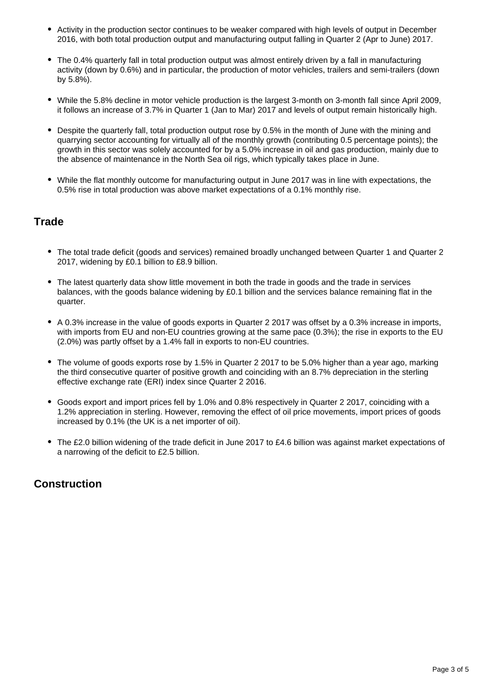- Activity in the production sector continues to be weaker compared with high levels of output in December 2016, with both total production output and manufacturing output falling in Quarter 2 (Apr to June) 2017.
- The 0.4% quarterly fall in total production output was almost entirely driven by a fall in manufacturing activity (down by 0.6%) and in particular, the production of motor vehicles, trailers and semi-trailers (down by 5.8%).
- While the 5.8% decline in motor vehicle production is the largest 3-month on 3-month fall since April 2009, it follows an increase of 3.7% in Quarter 1 (Jan to Mar) 2017 and levels of output remain historically high.
- Despite the quarterly fall, total production output rose by 0.5% in the month of June with the mining and quarrying sector accounting for virtually all of the monthly growth (contributing 0.5 percentage points); the growth in this sector was solely accounted for by a 5.0% increase in oil and gas production, mainly due to the absence of maintenance in the North Sea oil rigs, which typically takes place in June.
- While the flat monthly outcome for manufacturing output in June 2017 was in line with expectations, the 0.5% rise in total production was above market expectations of a 0.1% monthly rise.

#### **Trade**

- The total trade deficit (goods and services) remained broadly unchanged between Quarter 1 and Quarter 2 2017, widening by £0.1 billion to £8.9 billion.
- The latest quarterly data show little movement in both the trade in goods and the trade in services balances, with the goods balance widening by £0.1 billion and the services balance remaining flat in the quarter.
- A 0.3% increase in the value of goods exports in Quarter 2 2017 was offset by a 0.3% increase in imports, with imports from EU and non-EU countries growing at the same pace (0.3%); the rise in exports to the EU (2.0%) was partly offset by a 1.4% fall in exports to non-EU countries.
- The volume of goods exports rose by 1.5% in Quarter 2 2017 to be 5.0% higher than a year ago, marking the third consecutive quarter of positive growth and coinciding with an 8.7% depreciation in the sterling effective exchange rate (ERI) index since Quarter 2 2016.
- Goods export and import prices fell by 1.0% and 0.8% respectively in Quarter 2 2017, coinciding with a 1.2% appreciation in sterling. However, removing the effect of oil price movements, import prices of goods increased by 0.1% (the UK is a net importer of oil).
- The £2.0 billion widening of the trade deficit in June 2017 to £4.6 billion was against market expectations of a narrowing of the deficit to £2.5 billion.

#### **Construction**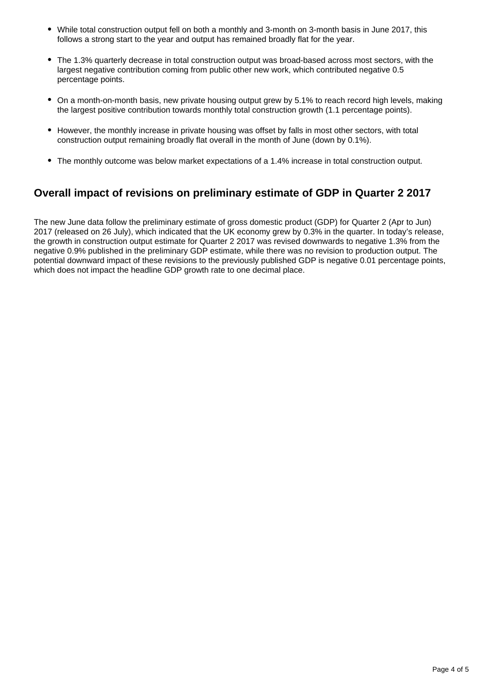- While total construction output fell on both a monthly and 3-month on 3-month basis in June 2017, this follows a strong start to the year and output has remained broadly flat for the year.
- The 1.3% quarterly decrease in total construction output was broad-based across most sectors, with the largest negative contribution coming from public other new work, which contributed negative 0.5 percentage points.
- On a month-on-month basis, new private housing output grew by 5.1% to reach record high levels, making the largest positive contribution towards monthly total construction growth (1.1 percentage points).
- However, the monthly increase in private housing was offset by falls in most other sectors, with total construction output remaining broadly flat overall in the month of June (down by 0.1%).
- The monthly outcome was below market expectations of a 1.4% increase in total construction output.

### **Overall impact of revisions on preliminary estimate of GDP in Quarter 2 2017**

The new June data follow the preliminary estimate of gross domestic product (GDP) for Quarter 2 (Apr to Jun) 2017 (released on 26 July), which indicated that the UK economy grew by 0.3% in the quarter. In today's release, the growth in construction output estimate for Quarter 2 2017 was revised downwards to negative 1.3% from the negative 0.9% published in the preliminary GDP estimate, while there was no revision to production output. The potential downward impact of these revisions to the previously published GDP is negative 0.01 percentage points, which does not impact the headline GDP growth rate to one decimal place.